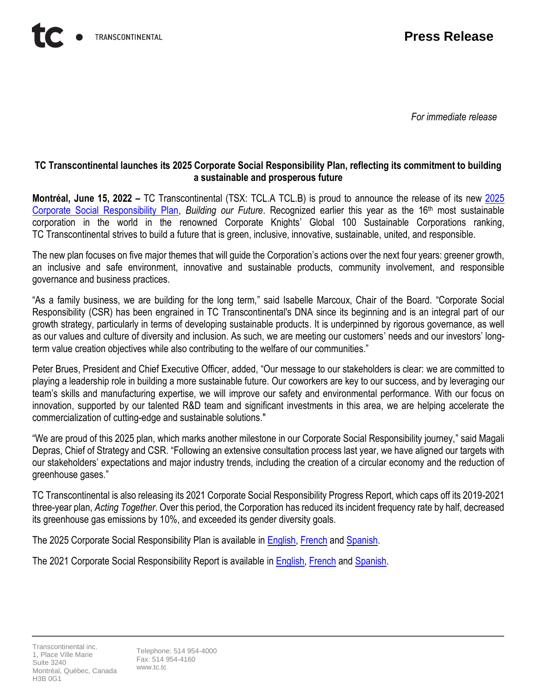*For immediate release*

## **TC Transcontinental launches its 2025 Corporate Social Responsibility Plan, reflecting its commitment to building a sustainable and prosperous future**

**Montréal, June 15, 2022 –** TC Transcontinental (TSX: TCL.A TCL.B) is proud to announce the release of its new [2025](https://tctranscontinental.com/en-us/social-responsibility)  [Corporate Social Responsibility Plan,](https://tctranscontinental.com/en-us/social-responsibility) *Building our Future*. Recognized earlier this year as the 16<sup>th</sup> most sustainable corporation in the world in the renowned Corporate Knights' Global 100 Sustainable Corporations ranking, TC Transcontinental strives to build a future that is green, inclusive, innovative, sustainable, united, and responsible.

The new plan focuses on five major themes that will guide the Corporation's actions over the next four years: greener growth, an inclusive and safe environment, innovative and sustainable products, community involvement, and responsible governance and business practices.

"As a family business, we are building for the long term," said Isabelle Marcoux, Chair of the Board. "Corporate Social Responsibility (CSR) has been engrained in TC Transcontinental's DNA since its beginning and is an integral part of our growth strategy, particularly in terms of developing sustainable products. It is underpinned by rigorous governance, as well as our values and culture of diversity and inclusion. As such, we are meeting our customers' needs and our investors' longterm value creation objectives while also contributing to the welfare of our communities."

Peter Brues, President and Chief Executive Officer, added, "Our message to our stakeholders is clear: we are committed to playing a leadership role in building a more sustainable future. Our coworkers are key to our success, and by leveraging our team's skills and manufacturing expertise, we will improve our safety and environmental performance. With our focus on innovation, supported by our talented R&D team and significant investments in this area, we are helping accelerate the commercialization of cutting-edge and sustainable solutions."

"We are proud of this 2025 plan, which marks another milestone in our Corporate Social Responsibility journey," said Magali Depras, Chief of Strategy and CSR. "Following an extensive consultation process last year, we have aligned our targets with our stakeholders' expectations and major industry trends, including the creation of a circular economy and the reduction of greenhouse gases."

TC Transcontinental is also releasing its 2021 Corporate Social Responsibility Progress Report, which caps off its 2019-2021 three-year plan, *Acting Together*. Over this period, the Corporation has reduced its incident frequency rate by half, decreased its greenhouse gas emissions by 10%, and exceeded its gender diversity goals.

The 2025 Corporate Social Responsibility Plan is available in [English,](https://tctranscontinental.com/sites/default/files/2022-06/CSR_Plan-2025-En-Final.pdf) [French](https://tctranscontinental.com/sites/default/files/2022-06/Plan_RSE-2025_Fr-Final.pdf) and [Spanish.](https://tctranscontinental.com/sites/default/files/2022-06/Plan_RSE-2025_Esp-Final.pdf)

The 2021 Corporate Social Responsibility Report is available i[n English,](https://tctranscontinental.com/sites/default/files/2022-06/2021-CSR-Report_Final.pdf) [French](https://tctranscontinental.com/sites/default/files/2022-06/2021-Rapport-etape-RSE_Final.pdf) and [Spanish.](https://tctranscontinental.com/sites/default/files/2022-06/2021-Informe-de-Progreso_Final%20.pdf)